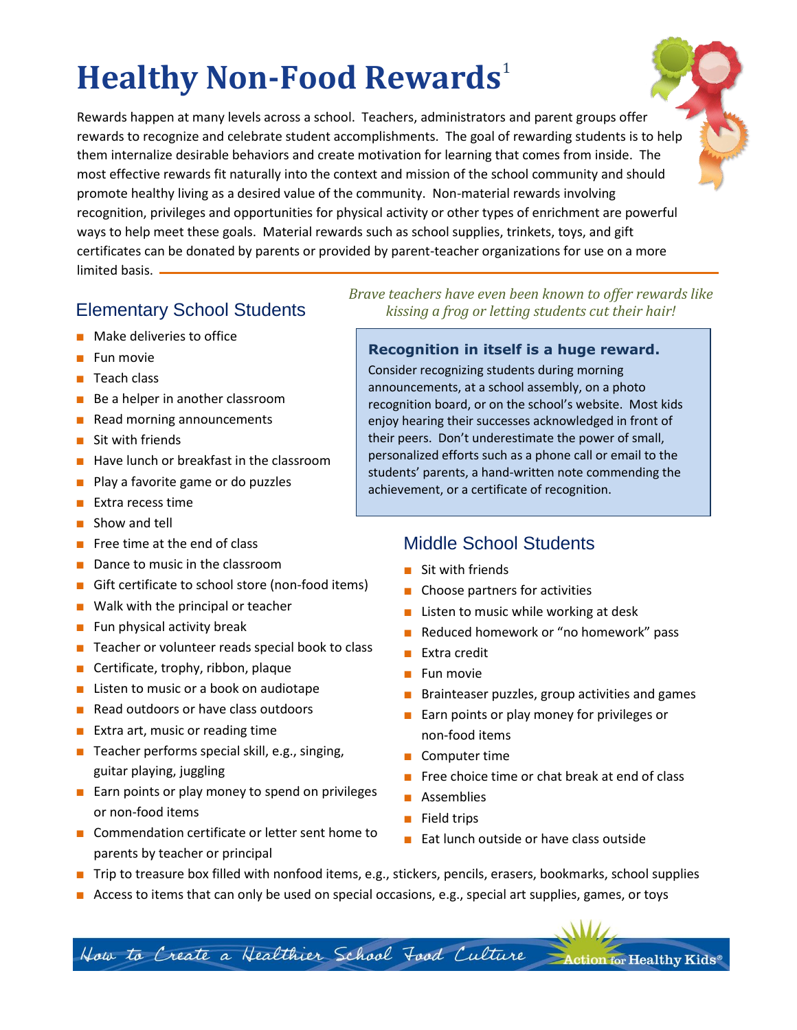# **Healthy Non-Food Rewards** 1

Rewards happen at many levels across a school. Teachers, administrators and parent groups offer rewards to recognize and celebrate student accomplishments. The goal of rewarding students is to help them internalize desirable behaviors and create motivation for learning that comes from inside. The most effective rewards fit naturally into the context and mission of the school community and should promote healthy living as a desired value of the community. Non-material rewards involving recognition, privileges and opportunities for physical activity or other types of enrichment are powerful ways to help meet these goals. Material rewards such as school supplies, trinkets, toys, and gift certificates can be donated by parents or provided by parent-teacher organizations for use on a more limited basis. .

- Make deliveries to office
- Fun movie
- Teach class
- Be a helper in another classroom
- Read morning announcements
- Sit with friends
- Have lunch or breakfast in the classroom
- Play a favorite game or do puzzles
- Extra recess time
- Show and tell
- Free time at the end of class
- Dance to music in the classroom
- Gift certificate to school store (non-food items)
- Walk with the principal or teacher
- Fun physical activity break
- Teacher or volunteer reads special book to class
- Certificate, trophy, ribbon, plaque
- Listen to music or a book on audiotape
- Read outdoors or have class outdoors
- Extra art, music or reading time
- Teacher performs special skill, e.g., singing, guitar playing, juggling
- Earn points or play money to spend on privileges or non-food items
- Commendation certificate or letter sent home to parents by teacher or principal

*Brave teachers have even been known to offer rewards like*  Elementary School Students *kissing a frog or letting students cut their hair!*

#### **Recognition in itself is a huge reward.**

Consider recognizing students during morning announcements, at a school assembly, on a photo recognition board, or on the school's website. Most kids enjoy hearing their successes acknowledged in front of their peers. Don't underestimate the power of small, personalized efforts such as a phone call or email to the students' parents, a hand-written note commending the achievement, or a certificate of recognition.

## Middle School Students

- Sit with friends
- Choose partners for activities
- Listen to music while working at desk
- Reduced homework or "no homework" pass
- Extra credit
- Fun movie
- Brainteaser puzzles, group activities and games
- Earn points or play money for privileges or non-food items
- Computer time
- Free choice time or chat break at end of class
- Assemblies
- Field trips
- Eat lunch outside or have class outside
- Trip to treasure box filled with nonfood items, e.g., stickers, pencils, erasers, bookmarks, school supplies
- Access to items that can only be used on special occasions, e.g., special art supplies, games, or toys

How to Create a Healthier School Food Culture